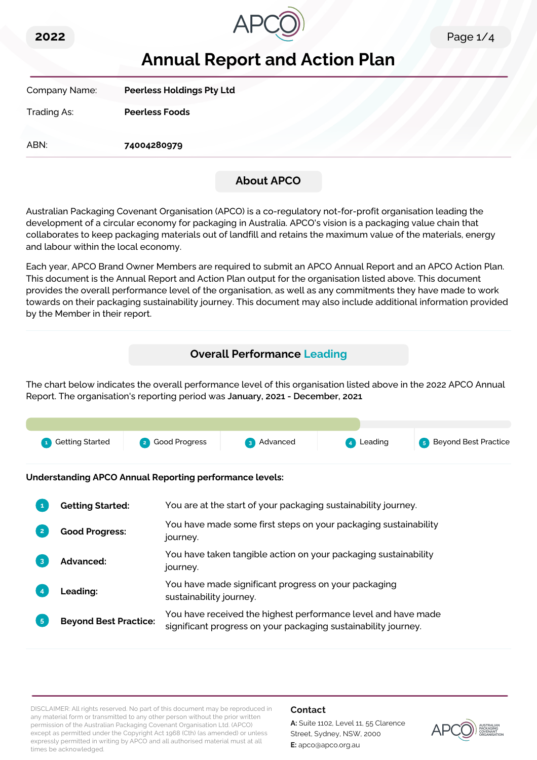



# **Annual Report and Action Plan**

Company Name: **Peerless Holdings Pty Ltd**

Trading As: **Peerless Foods**

ABN: **74004280979**

# **About APCO**

Australian Packaging Covenant Organisation (APCO) is a co-regulatory not-for-profit organisation leading the development of a circular economy for packaging in Australia. APCO's vision is a packaging value chain that collaborates to keep packaging materials out of landfill and retains the maximum value of the materials, energy and labour within the local economy.

Each year, APCO Brand Owner Members are required to submit an APCO Annual Report and an APCO Action Plan. This document is the Annual Report and Action Plan output for the organisation listed above. This document provides the overall performance level of the organisation, as well as any commitments they have made to work towards on their packaging sustainability journey. This document may also include additional information provided by the Member in their report.

# **Overall Performance Leading**

The chart below indicates the overall performance level of this organisation listed above in the 2022 APCO Annual Report. The organisation's reporting period was **January, 2021 - December, 2021**.



**Understanding APCO Annual Reporting performance levels:**

|                | <b>Getting Started:</b>      | You are at the start of your packaging sustainability journey.                                                                  |
|----------------|------------------------------|---------------------------------------------------------------------------------------------------------------------------------|
| $\overline{2}$ | <b>Good Progress:</b>        | You have made some first steps on your packaging sustainability<br>journey.                                                     |
| 3              | Advanced:                    | You have taken tangible action on your packaging sustainability<br>journey.                                                     |
|                | <b>Leading:</b>              | You have made significant progress on your packaging<br>sustainability journey.                                                 |
| 5 <sup>1</sup> | <b>Beyond Best Practice:</b> | You have received the highest performance level and have made<br>significant progress on your packaging sustainability journey. |

DISCLAIMER: All rights reserved. No part of this document may be reproduced in any material form or transmitted to any other person without the prior written permission of the Australian Packaging Covenant Organisation Ltd. (APCO) except as permitted under the Copyright Act 1968 (Cth) (as amended) or unless expressly permitted in writing by APCO and all authorised material must at all times be acknowledged.

## **Contact**

**A:** Suite 1102, Level 11, 55 Clarence Street, Sydney, NSW, 2000 **E:** apco@apco.org.au

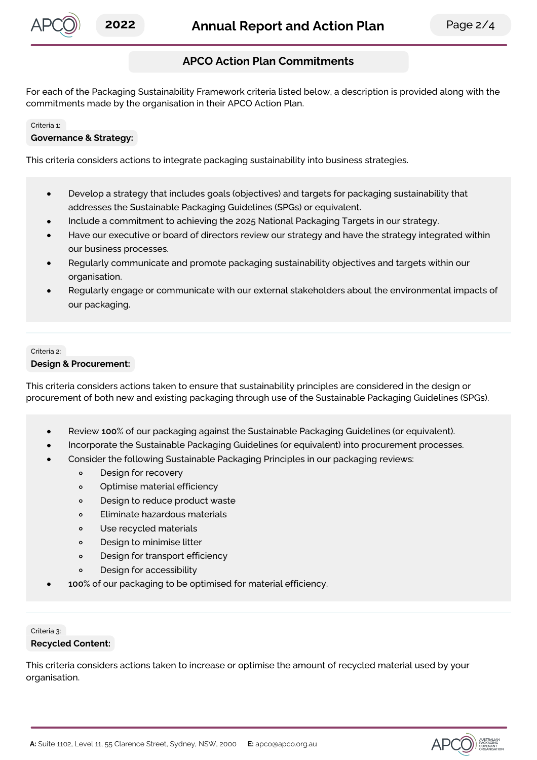

# **APCO Action Plan Commitments**

For each of the Packaging Sustainability Framework criteria listed below, a description is provided along with the commitments made by the organisation in their APCO Action Plan.

#### Criteria 1:

#### **Governance & Strategy:**

This criteria considers actions to integrate packaging sustainability into business strategies.

- Develop a strategy that includes goals (objectives) and targets for packaging sustainability that  $\bullet$ addresses the Sustainable Packaging Guidelines (SPGs) or equivalent.
- Include a commitment to achieving the 2025 National Packaging Targets in our strategy.
- Have our executive or board of directors review our strategy and have the strategy integrated within our business processes.
- Regularly communicate and promote packaging sustainability objectives and targets within our organisation.
- Regularly engage or communicate with our external stakeholders about the environmental impacts of our packaging.

#### Criteria 2:

#### **Design & Procurement:**

This criteria considers actions taken to ensure that sustainability principles are considered in the design or procurement of both new and existing packaging through use of the Sustainable Packaging Guidelines (SPGs).

- Review **100**% of our packaging against the Sustainable Packaging Guidelines (or equivalent).
	- Incorporate the Sustainable Packaging Guidelines (or equivalent) into procurement processes.
- Consider the following Sustainable Packaging Principles in our packaging reviews:
	- Design for recovery  $\circ$
	- Optimise material efficiency  $\circ$
	- Design to reduce product waste  $\circ$
	- $\circ$ Eliminate hazardous materials
	- Use recycled materials  $\circ$
	- Design to minimise litter  $\circ$
	- $\circ$ Design for transport efficiency
	- $\circ$ Design for accessibility
- **100**% of our packaging to be optimised for material efficiency.

#### Criteria 3: **Recycled Content:**

This criteria considers actions taken to increase or optimise the amount of recycled material used by your organisation.

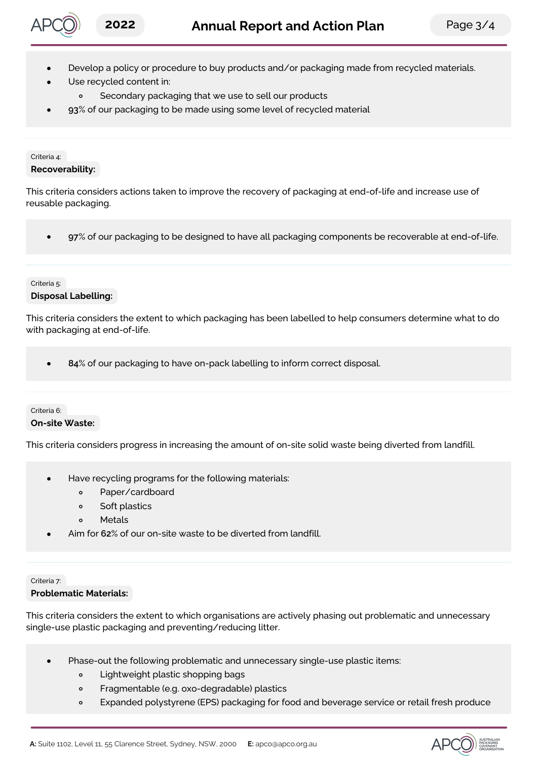

- Develop a policy or procedure to buy products and/or packaging made from recycled materials.
- Use recycled content in:
	- $\circ$ Secondary packaging that we use to sell our products
- **93**% of our packaging to be made using some level of recycled material

#### Criteria 4:

### **Recoverability:**

This criteria considers actions taken to improve the recovery of packaging at end-of-life and increase use of reusable packaging.

**97**% of our packaging to be designed to have all packaging components be recoverable at end-of-life.  $\bullet$ 

#### Criteria 5: **Disposal Labelling:**

This criteria considers the extent to which packaging has been labelled to help consumers determine what to do with packaging at end-of-life.

**84**% of our packaging to have on-pack labelling to inform correct disposal.

## Criteria 6:

### **On-site Waste:**

This criteria considers progress in increasing the amount of on-site solid waste being diverted from landfill.

- Have recycling programs for the following materials:
	- $\circ$ Paper/cardboard
	- $\circ$ Soft plastics
	- Metals  $\circ$
- Aim for **62**% of our on-site waste to be diverted from landfill.

#### Criteria 7:

### **Problematic Materials:**

This criteria considers the extent to which organisations are actively phasing out problematic and unnecessary single-use plastic packaging and preventing/reducing litter.

- Phase-out the following problematic and unnecessary single-use plastic items:
	- $\circ$ Lightweight plastic shopping bags
	- $\circ$ Fragmentable (e.g. oxo-degradable) plastics
	- Expanded polystyrene (EPS) packaging for food and beverage service or retail fresh produce  $\circ$